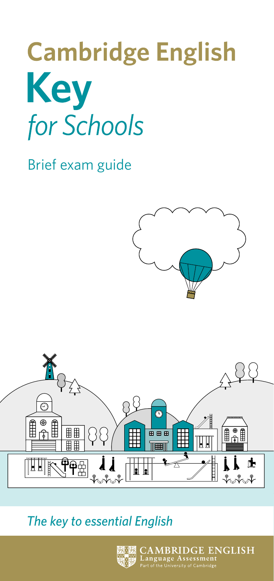# **Cambridge English Key** for Schools

Brief exam guide





#### *The key to essential English*



 $\rm \lambda MBRIDGE~ENGLISH$ anguage Assessment<br>anguage Assessment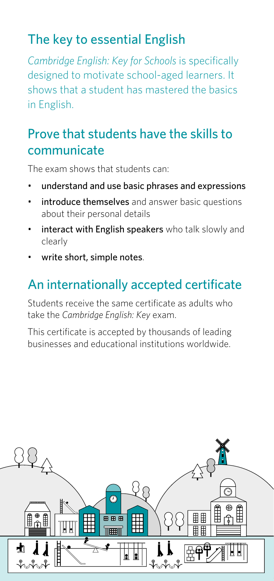# The key to essential English

*Cambridge English: Key for Schools* is specifically designed to motivate school-aged learners. It shows that a student has mastered the basics in English.

## Prove that students have the skills to communicate

The exam shows that students can:

- understand and use basic phrases and expressions
- introduce themselves and answer basic questions about their personal details
- interact with English speakers who talk slowly and clearly
- write short, simple notes.

# An internationally accepted certificate

Students receive the same certificate as adults who take the *Cambridge English: Key* exam.

This certificate is accepted by thousands of leading businesses and educational institutions worldwide.

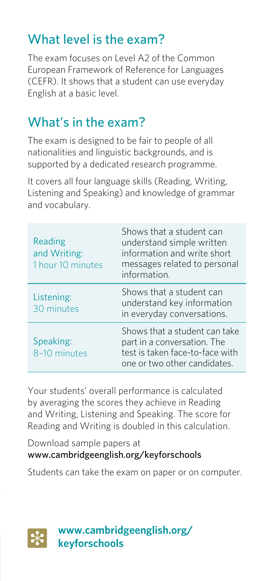# What level is the exam?

The exam focuses on Level A2 of the Common European Framework of Reference for Languages (CEFR). It shows that a student can use everyday English at a basic level.

### What's in the exam?

The exam is designed to be fair to people of all nationalities and linguistic backgrounds, and is supported by a dedicated research programme.

It covers all four language skills (Reading, Writing, Listening and Speaking) and knowledge of grammar and vocabulary.

| Reading<br>and Writing:<br>1 hour 10 minutes | Shows that a student can<br>understand simple written<br>information and write short<br>messages related to personal<br>information. |
|----------------------------------------------|--------------------------------------------------------------------------------------------------------------------------------------|
| Listening:<br>30 minutes                     | Shows that a student can<br>understand key information<br>in everyday conversations.                                                 |
| Speaking:<br>8-10 minutes                    | Shows that a student can take<br>part in a conversation. The<br>test is taken face-to-face with<br>one or two other candidates.      |

Your students' overall performance is calculated by averaging the scores they achieve in Reading and Writing, Listening and Speaking. The score for Reading and Writing is doubled in this calculation.

Download sample papers at www.cambridgeenglish.org/keyforschools

Students can take the exam on paper or on computer.



**www.cambridgeenglish.org/ keyforschools**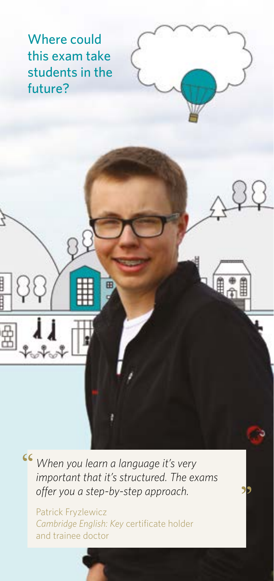Where could this exam take students in the future?

*When you learn a language it's very important that it's structured. The exams offer you a step-by-step approach.*

Patrick Fryzlewicz *Cambridge English: Key* certificate holder and trainee doctor

E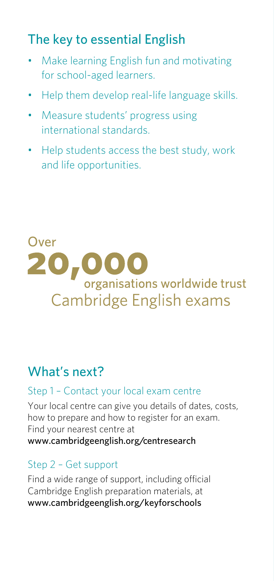# The key to essential English

- Make learning English fun and motivating for school-aged learners.
- Help them develop real-life language skills.
- Measure students' progress using international standards.
- Help students access the best study, work and life opportunities.

# Over20, organisations worldwide trust Cambridge English exams

### What's next?

#### Step 1 – Contact your local exam centre

Your local centre can give you details of dates, costs, how to prepare and how to register for an exam. Find your nearest centre at www.cambridgeenglish.org/centresearch

#### Step 2 – Get support

Find a wide range of support, including official Cambridge English preparation materials, at www.cambridgeenglish.org/keyforschools